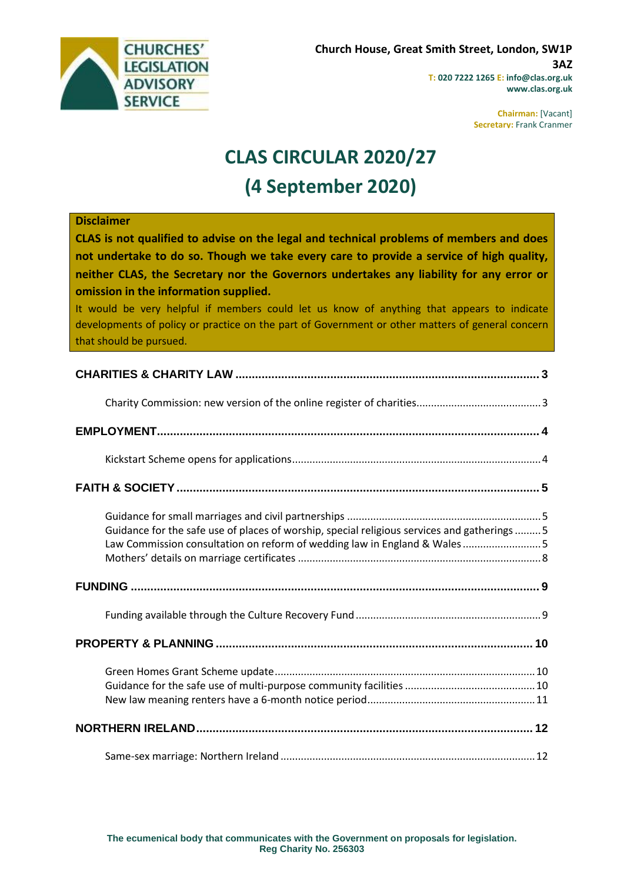

**Chairman:** [Vacant] **Secretary:** Frank Cranmer

# **CLAS CIRCULAR 2020/27 (4 September 2020)**

#### **Disclaimer**

**CLAS is not qualified to advise on the legal and technical problems of members and does not undertake to do so. Though we take every care to provide a service of high quality, neither CLAS, the Secretary nor the Governors undertakes any liability for any error or omission in the information supplied.**

It would be very helpful if members could let us know of anything that appears to indicate developments of policy or practice on the part of Government or other matters of general concern that should be pursued.

| Guidance for the safe use of places of worship, special religious services and gatherings  5<br>Law Commission consultation on reform of wedding law in England & Wales5 |  |
|--------------------------------------------------------------------------------------------------------------------------------------------------------------------------|--|
|                                                                                                                                                                          |  |
|                                                                                                                                                                          |  |
|                                                                                                                                                                          |  |
|                                                                                                                                                                          |  |
|                                                                                                                                                                          |  |
|                                                                                                                                                                          |  |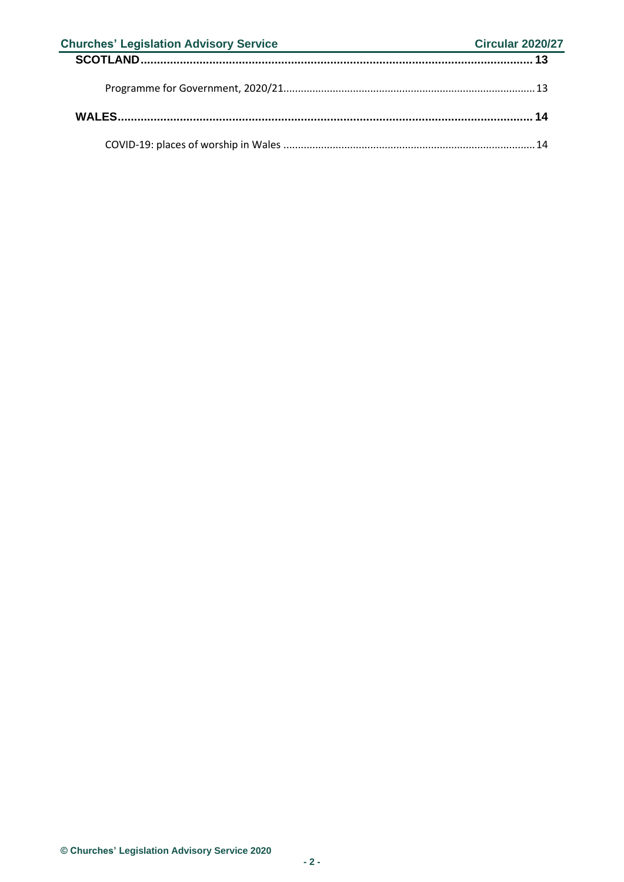| <b>Churches' Legislation Advisory Service</b> | <b>Circular 2020/27</b> |
|-----------------------------------------------|-------------------------|
|                                               |                         |
|                                               |                         |
|                                               |                         |
|                                               |                         |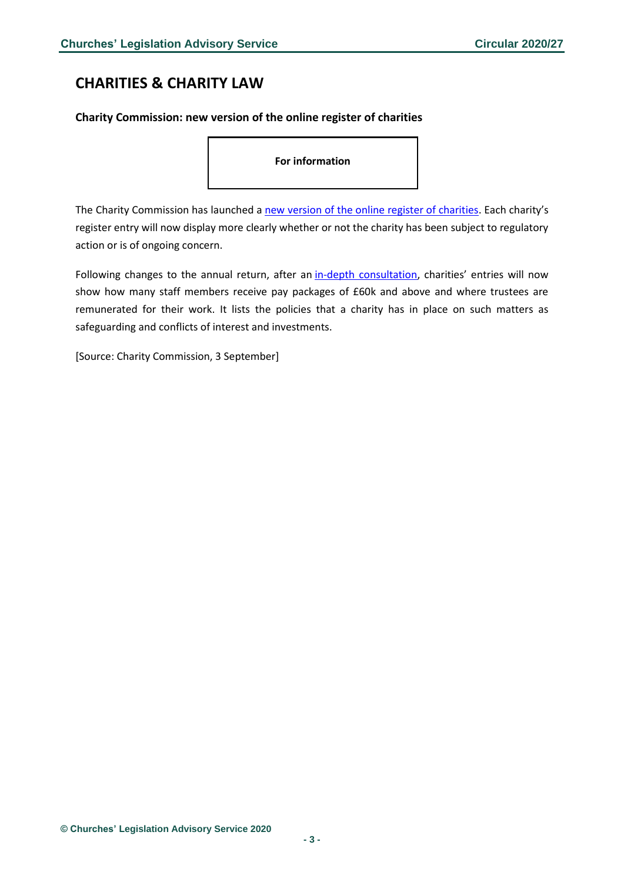# <span id="page-2-0"></span>**CHARITIES & CHARITY LAW**

### <span id="page-2-1"></span>**Charity Commission: new version of the online register of charities**

**For information**

The Charity Commission has launched a [new version of the online register of charities.](https://register-of-charities.charitycommission.gov.uk/) Each charity's register entry will now display more clearly whether or not the charity has been subject to regulatory action or is of ongoing concern.

Following changes to the annual return, after an [in-depth consultation](https://www.gov.uk/government/news/commission-listens-to-charities-in-making-changes-to-the-annual-return-for-2018), charities' entries will now show how many staff members receive pay packages of £60k and above and where trustees are remunerated for their work. It lists the policies that a charity has in place on such matters as safeguarding and conflicts of interest and investments.

[Source: Charity Commission, 3 September]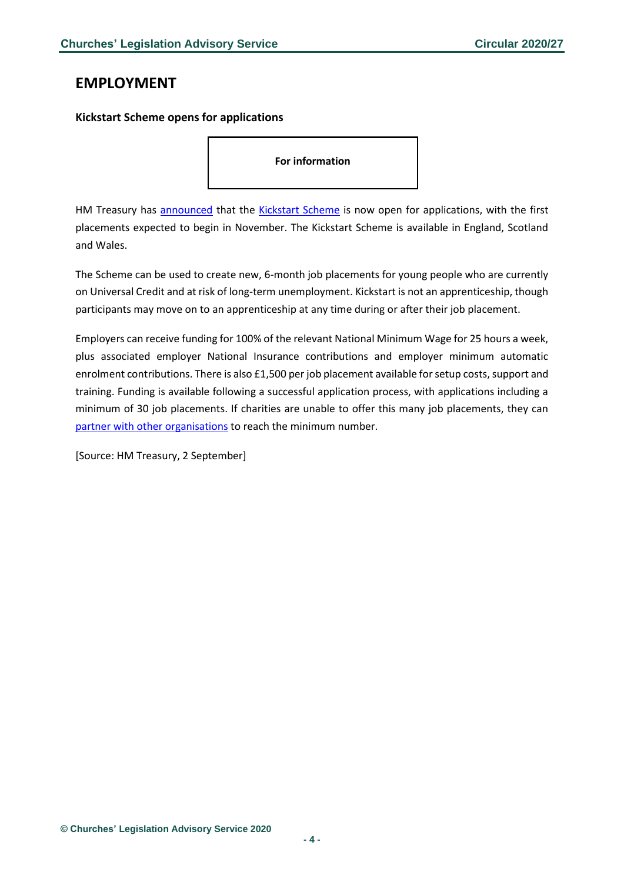## <span id="page-3-0"></span>**EMPLOYMENT**

### <span id="page-3-1"></span>**Kickstart Scheme opens for applications**

**For information**

HM Treasury has [announced](https://www.gov.uk/guidance/check-if-you-can-apply-for-a-grant-through-the-kickstart-scheme) that the [Kickstart Scheme](https://www.gov.uk/government/collections/kickstart-scheme?utm_source=9110972d-4588-4bc2-a272-6bb7da082115&utm_medium=email&utm_campaign=govuk-notifications&utm_content=daily) is now open for applications, with the first placements expected to begin in November. The Kickstart Scheme is available in England, Scotland and Wales.

The Scheme can be used to create new, 6-month job placements for young people who are currently on Universal Credit and at risk of long-term unemployment. Kickstart is not an apprenticeship, though participants may move on to an apprenticeship at any time during or after their job placement.

Employers can receive funding for 100% of the relevant National Minimum Wage for 25 hours a week, plus associated employer National Insurance contributions and employer minimum automatic enrolment contributions. There is also £1,500 per job placement available for setup costs, support and training. Funding is available following a successful application process, with applications including a minimum of 30 job placements. If charities are unable to offer this many job placements, they can [partner with other organisations](https://www.gov.uk/guidance/check-if-you-can-apply-for-a-grant-as-a-representative-of-a-group-of-employers-through-the-kickstart-scheme) to reach the minimum number.

[Source: HM Treasury, 2 September]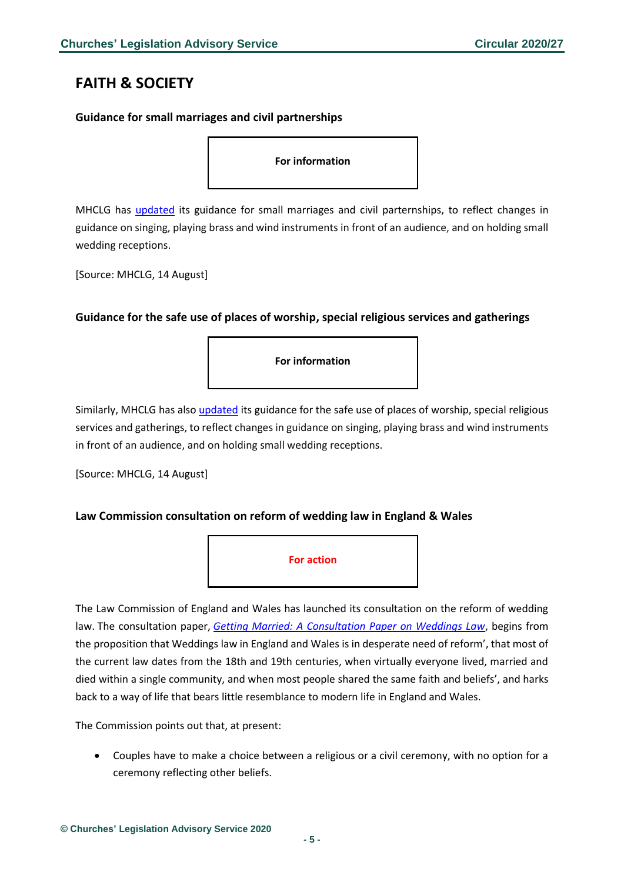# <span id="page-4-0"></span>**FAITH & SOCIETY**

### <span id="page-4-1"></span>**Guidance for small marriages and civil partnerships**

**For information**

MHCLG has [updated](https://www.gov.uk/government/publications/covid-19-guidance-for-small-marriages-and-civil-partnerships/covid-19-guidance-for-small-marriages-and-civil-partnerships) its guidance for small marriages and civil parternships, to reflect changes in guidance on singing, playing brass and wind instruments in front of an audience, and on holding small wedding receptions.

[Source: MHCLG, 14 August]

### <span id="page-4-2"></span>**Guidance for the safe use of places of worship, special religious services and gatherings**

**For information**

Similarly, MHCLG has also [updated](https://www.gov.uk/government/publications/covid-19-guidance-for-the-safe-use-of-places-of-worship-during-the-pandemic-from-4-july/covid-19-guidance-for-the-safe-use-of-places-of-worship-during-the-pandemic-from-4-july) its guidance for the safe use of places of worship, special religious services and gatherings, to reflect changes in guidance on singing, playing brass and wind instruments in front of an audience, and on holding small wedding receptions.

[Source: MHCLG, 14 August]

### <span id="page-4-3"></span>**Law Commission consultation on reform of wedding law in England & Wales**



The Law Commission of England and Wales has launched its consultation on the reform of wedding law. The consultation paper, *[Getting Married: A Consultation Paper on Weddings Law](https://s3-eu-west-2.amazonaws.com/lawcom-prod-storage-11jsxou24uy7q/uploads/2020/09/Getting-Married-A-Consultation-Paper-on-Wedding-Law-web.pdf)*, begins from the proposition that Weddings law in England and Wales is in desperate need of reform', that most of the current law dates from the 18th and 19th centuries, when virtually everyone lived, married and died within a single community, and when most people shared the same faith and beliefs', and harks back to a way of life that bears little resemblance to modern life in England and Wales.

The Commission points out that, at present:

• Couples have to make a choice between a religious or a civil ceremony, with no option for a ceremony reflecting other beliefs.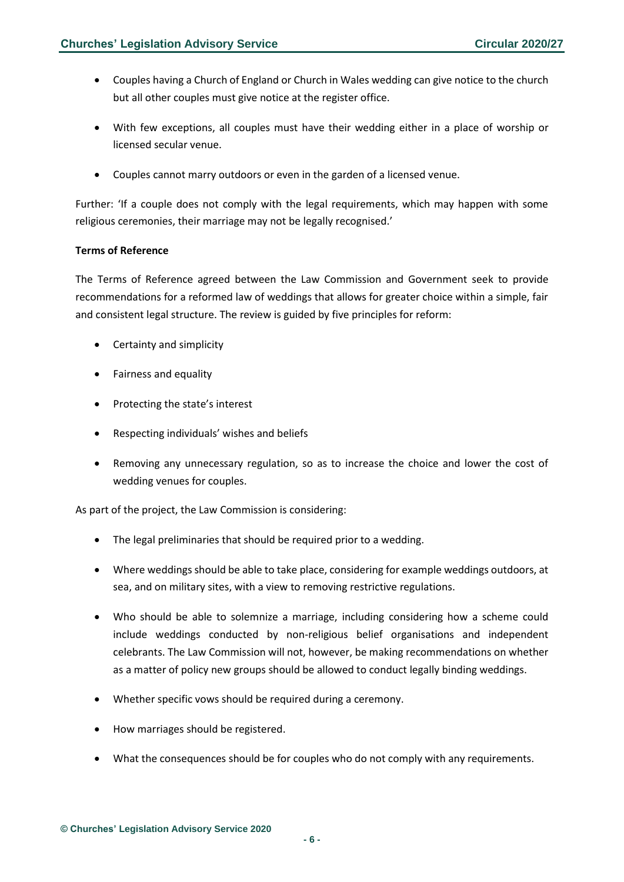- Couples having a Church of England or Church in Wales wedding can give notice to the church but all other couples must give notice at the register office.
- With few exceptions, all couples must have their wedding either in a place of worship or licensed secular venue.
- Couples cannot marry outdoors or even in the garden of a licensed venue.

Further: 'If a couple does not comply with the legal requirements, which may happen with some religious ceremonies, their marriage may not be legally recognised.'

#### **Terms of Reference**

The Terms of Reference agreed between the Law Commission and Government seek to provide recommendations for a reformed law of weddings that allows for greater choice within a simple, fair and consistent legal structure. The review is guided by five principles for reform:

- Certainty and simplicity
- Fairness and equality
- Protecting the state's interest
- Respecting individuals' wishes and beliefs
- Removing any unnecessary regulation, so as to increase the choice and lower the cost of wedding venues for couples.

As part of the project, the Law Commission is considering:

- The legal preliminaries that should be required prior to a wedding.
- Where weddings should be able to take place, considering for example weddings outdoors, at sea, and on military sites, with a view to removing restrictive regulations.
- Who should be able to solemnize a marriage, including considering how a scheme could include weddings conducted by non-religious belief organisations and independent celebrants. The Law Commission will not, however, be making recommendations on whether as a matter of policy new groups should be allowed to conduct legally binding weddings.
- Whether specific vows should be required during a ceremony.
- How marriages should be registered.
- What the consequences should be for couples who do not comply with any requirements.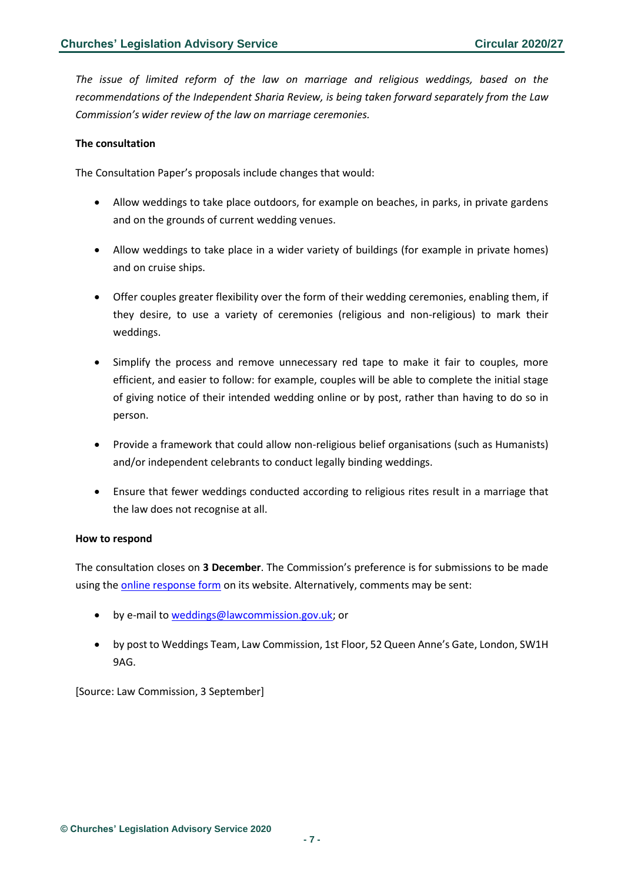*The issue of limited reform of the law on marriage and religious weddings, based on the recommendations of the Independent Sharia Review, is being taken forward separately from the Law Commission's wider review of the law on marriage ceremonies.*

#### **The consultation**

The Consultation Paper's proposals include changes that would:

- Allow weddings to take place outdoors, for example on beaches, in parks, in private gardens and on the grounds of current wedding venues.
- Allow weddings to take place in a wider variety of buildings (for example in private homes) and on cruise ships.
- Offer couples greater flexibility over the form of their wedding ceremonies, enabling them, if they desire, to use a variety of ceremonies (religious and non-religious) to mark their weddings.
- Simplify the process and remove unnecessary red tape to make it fair to couples, more efficient, and easier to follow: for example, couples will be able to complete the initial stage of giving notice of their intended wedding online or by post, rather than having to do so in person.
- Provide a framework that could allow non-religious belief organisations (such as Humanists) and/or independent celebrants to conduct legally binding weddings.
- Ensure that fewer weddings conducted according to religious rites result in a marriage that the law does not recognise at all.

#### **How to respond**

The consultation closes on **3 December**. The Commission's preference is for submissions to be made using th[e online response form](https://consult.justice.gov.uk/law-commission/weddings/) on its website. Alternatively, comments may be sent:

- by e-mail t[o weddings@lawcommission.gov.uk;](mailto:weddings@lawcommission.gov.uk) or
- by post to Weddings Team, Law Commission, 1st Floor, 52 Queen Anne's Gate, London, SW1H 9AG.

[Source: Law Commission, 3 September]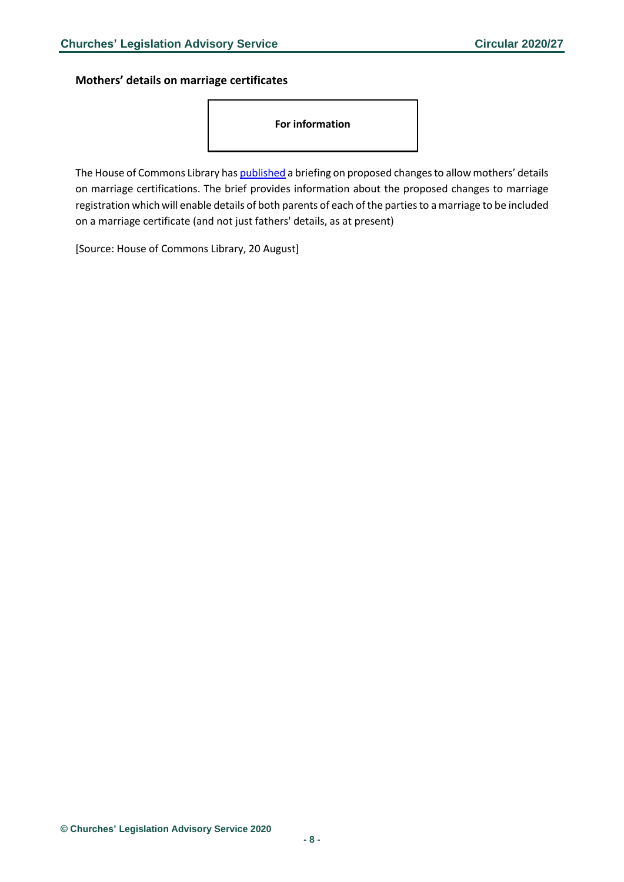<span id="page-7-0"></span>**Mothers' details on marriage certificates**



The House of Commons Library ha[s published](http://researchbriefings.files.parliament.uk/documents/CBP-7516/CBP-7516.pdf) a briefing on proposed changes to allow mothers' details on marriage certifications. The brief provides information about the proposed changes to marriage registration which will enable details of both parents of each of the parties to a marriage to be included on a marriage certificate (and not just fathers' details, as at present)

[Source: House of Commons Library, 20 August]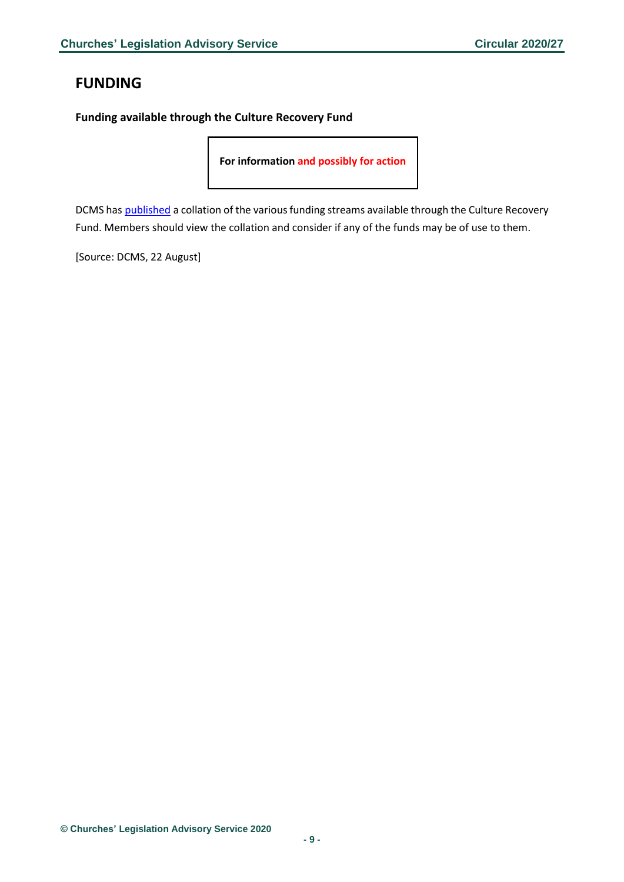# <span id="page-8-0"></span>**FUNDING**

<span id="page-8-1"></span>**Funding available through the Culture Recovery Fund**

**For information and possibly for action**

DCMS has [published](https://www.gov.uk/guidance/funding-available-through-the-culture-recovery-fund) a collation of the various funding streams available through the Culture Recovery Fund. Members should view the collation and consider if any of the funds may be of use to them.

[Source: DCMS, 22 August]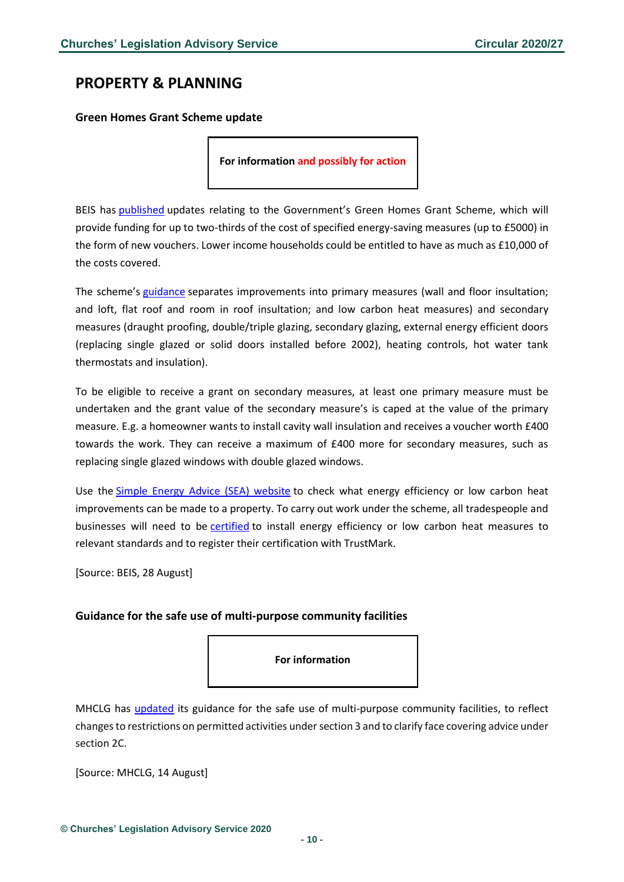# <span id="page-9-0"></span>**PROPERTY & PLANNING**

<span id="page-9-1"></span>**Green Homes Grant Scheme update**

**For information and possibly for action**

BEIS has [published](https://www.gov.uk/government/news/homeowners-to-see-savings-available-under-new-green-homes-grant-scheme) updates relating to the Government's Green Homes Grant Scheme, which will provide funding for up to two-thirds of the cost of specified energy-saving measures (up to £5000) in the form of new vouchers. Lower income households could be entitled to have as much as £10,000 of the costs covered.

The scheme's [guidance](https://www.gov.uk/guidance/apply-for-the-green-homes-grant-scheme) separates improvements into primary measures (wall and floor insultation; and loft, flat roof and room in roof insultation; and low carbon heat measures) and secondary measures (draught proofing, double/triple glazing, secondary glazing, external energy efficient doors (replacing single glazed or solid doors installed before 2002), heating controls, hot water tank thermostats and insulation).

To be eligible to receive a grant on secondary measures, at least one primary measure must be undertaken and the grant value of the secondary measure's is caped at the value of the primary measure. E.g. a homeowner wants to install cavity wall insulation and receives a voucher worth £400 towards the work. They can receive a maximum of £400 more for secondary measures, such as replacing single glazed windows with double glazed windows.

Use the Simple Energy [Advice \(SEA\) website](https://www.simpleenergyadvice.org.uk/pages/green-homes-grant) to check what energy efficiency or low carbon heat improvements can be made to a property. To carry out work under the scheme, all tradespeople and businesses will need to be [certified](https://www.gov.uk/guidance/green-homes-grant-scheme-register-as-a-certified-tradesperson-or-business) to install energy efficiency or low carbon heat measures to relevant standards and to register their certification with TrustMark.

[Source: BEIS, 28 August]

#### <span id="page-9-2"></span>**Guidance for the safe use of multi-purpose community facilities**

**For information**

MHCLG has [updated](https://www.gov.uk/government/publications/covid-19-guidance-for-the-safe-use-of-multi-purpose-community-facilities/covid-19-guidance-for-the-safe-use-of-multi-purpose-community-facilities) its guidance for the safe use of multi-purpose community facilities, to reflect changes to restrictions on permitted activities under section 3 and to clarify face covering advice under section 2C.

[Source: MHCLG, 14 August]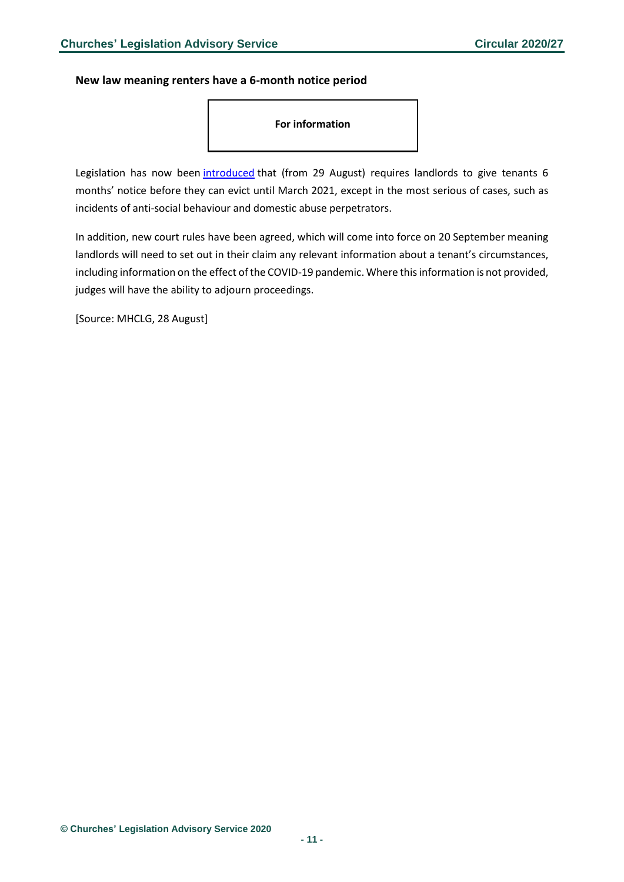<span id="page-10-0"></span>**New law meaning renters have a 6-month notice period**



Legislation has now been [introduced](https://www.legislation.gov.uk/uksi/2020/914/note/made) that (from 29 August) requires landlords to give tenants 6 months' notice before they can evict until March 2021, except in the most serious of cases, such as incidents of anti-social behaviour and domestic abuse perpetrators.

In addition, new court rules have been agreed, which will come into force on 20 September meaning landlords will need to set out in their claim any relevant information about a tenant's circumstances, including information on the effect of the COVID-19 pandemic. Where this information is not provided, judges will have the ability to adjourn proceedings.

[Source: MHCLG, 28 August]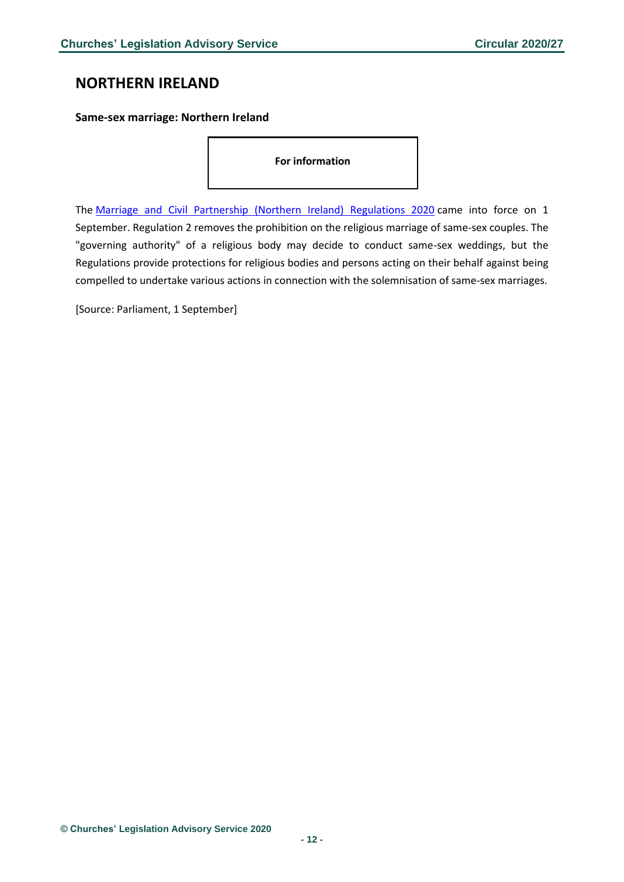# <span id="page-11-0"></span>**NORTHERN IRELAND**

<span id="page-11-1"></span>**Same-sex marriage: Northern Ireland**

**For information**

The [Marriage and Civil Partnership \(Northern Ireland\) Regulations 2020](https://www.legislation.gov.uk/uksi/2020/742/contents/made) came into force on 1 September. Regulation 2 removes the prohibition on the religious marriage of same-sex couples. The "governing authority" of a religious body may decide to conduct same-sex weddings, but the Regulations provide protections for religious bodies and persons acting on their behalf against being compelled to undertake various actions in connection with the solemnisation of same-sex marriages.

[Source: Parliament, 1 September]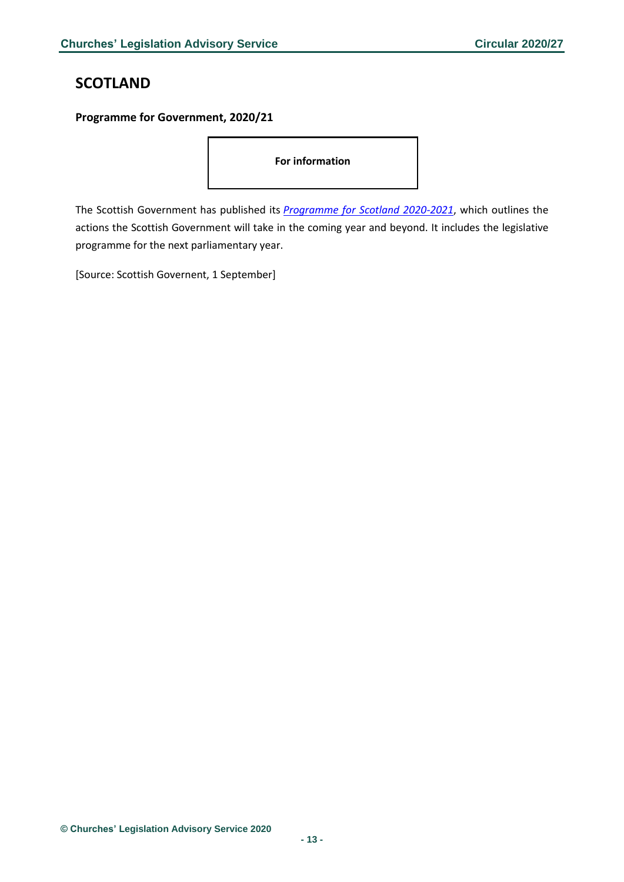# <span id="page-12-0"></span>**SCOTLAND**

### <span id="page-12-1"></span>**Programme for Government, 2020/21**

**For information**

The Scottish Government has published its *[Programme for Scotland 2020-2021](https://www.gov.scot/publications/protecting-scotland-renewing-scotland-governments-programme-scotland-2020-2021/pages/2/)*, which outlines the actions the Scottish Government will take in the coming year and beyond. It includes the legislative programme for the next parliamentary year.

[Source: Scottish Governent, 1 September]